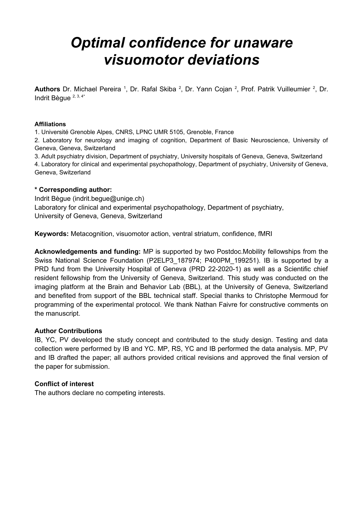# *Optimal confidence for unaware visuomotor deviations*

Authors Dr. Michael Pereira <sup>1</sup>, Dr. Rafal Skiba <sup>2</sup>, Dr. Yann Cojan <sup>2</sup>, Prof. Patrik Vuilleumier <sup>2</sup>, Dr. Indrit Bègue 2, 3, 4\*

#### **Affiliations**

1. Université Grenoble Alpes, CNRS, LPNC UMR 5105, Grenoble, France

2. Laboratory for neurology and imaging of cognition, Department of Basic Neuroscience, University of Geneva, Geneva, Switzerland

3. Adult psychiatry division, Department of psychiatry, University hospitals of Geneva, Geneva, Switzerland 4. Laboratory for clinical and experimental psychopathology, Department of psychiatry, University of Geneva, Geneva, Switzerland

#### **\* Corresponding author:**

Indrit Bègue (indrit.begue@unige.ch) Laboratory for clinical and experimental psychopathology, Department of psychiatry, University of Geneva, Geneva, Switzerland

**Keywords:** Metacognition, visuomotor action, ventral striatum, confidence, fMRI

**Acknowledgements and funding:** MP is supported by two Postdoc.Mobility fellowships from the Swiss National Science Foundation (P2ELP3 187974; P400PM 199251). IB is supported by a PRD fund from the University Hospital of Geneva (PRD 22-2020-1) as well as a Scientific chief resident fellowship from the University of Geneva, Switzerland. This study was conducted on the imaging platform at the Brain and Behavior Lab (BBL), at the University of Geneva, Switzerland and benefited from support of the BBL technical staff. Special thanks to Christophe Mermoud for programming of the experimental protocol. We thank Nathan Faivre for constructive comments on the manuscript.

#### **Author Contributions**

IB, YC, PV developed the study concept and contributed to the study design. Testing and data collection were performed by IB and YC. MP, RS, YC and IB performed the data analysis. MP, PV and IB drafted the paper; all authors provided critical revisions and approved the final version of the paper for submission.

#### **Conflict of interest**

The authors declare no competing interests.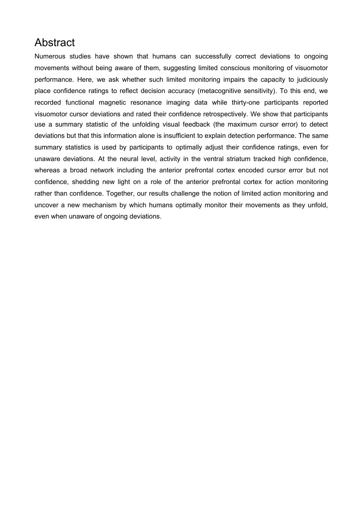# Abstract

Numerous studies have shown that humans can successfully correct deviations to ongoing movements without being aware of them, suggesting limited conscious monitoring of visuomotor performance. Here, we ask whether such limited monitoring impairs the capacity to judiciously place confidence ratings to reflect decision accuracy (metacognitive sensitivity). To this end, we recorded functional magnetic resonance imaging data while thirty-one participants reported visuomotor cursor deviations and rated their confidence retrospectively. We show that participants use a summary statistic of the unfolding visual feedback (the maximum cursor error) to detect deviations but that this information alone is insufficient to explain detection performance. The same summary statistics is used by participants to optimally adjust their confidence ratings, even for unaware deviations. At the neural level, activity in the ventral striatum tracked high confidence, whereas a broad network including the anterior prefrontal cortex encoded cursor error but not confidence, shedding new light on a role of the anterior prefrontal cortex for action monitoring rather than confidence. Together, our results challenge the notion of limited action monitoring and uncover a new mechanism by which humans optimally monitor their movements as they unfold, even when unaware of ongoing deviations.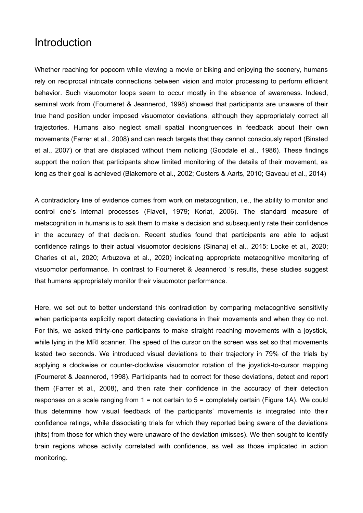### Introduction

Whether reaching for popcorn while viewing a movie or biking and enjoying the scenery, humans rely on reciprocal intricate connections between vision and motor processing to perform efficient behavior. Such visuomotor loops seem to occur mostly in the absence of awareness. Indeed, seminal work from (Fourneret & Jeannerod, 1998) showed that participants are unaware of their true hand position under imposed visuomotor deviations, although they appropriately correct all trajectories. Humans also neglect small spatial incongruences in feedback about their own movements (Farrer et al., 2008) and can reach targets that they cannot consciously report (Binsted et al., 2007) or that are displaced without them noticing (Goodale et al., 1986). These findings support the notion that participants show limited monitoring of the details of their movement, as long as their goal is achieved (Blakemore et al., 2002; Custers & Aarts, 2010; Gaveau et al., 2014)

A contradictory line of evidence comes from work on metacognition, i.e., the ability to monitor and control one's internal processes (Flavell, 1979; Koriat, 2006). The standard measure of metacognition in humans is to ask them to make a decision and subsequently rate their confidence in the accuracy of that decision. Recent studies found that participants are able to adjust confidence ratings to their actual visuomotor decisions (Sinanaj et al., 2015; Locke et al., 2020; Charles et al., 2020; Arbuzova et al., 2020) indicating appropriate metacognitive monitoring of visuomotor performance. In contrast to Fourneret & Jeannerod 's results, these studies suggest that humans appropriately monitor their visuomotor performance.

Here, we set out to better understand this contradiction by comparing metacognitive sensitivity when participants explicitly report detecting deviations in their movements and when they do not. For this, we asked thirty-one participants to make straight reaching movements with a joystick, while lying in the MRI scanner. The speed of the cursor on the screen was set so that movements lasted two seconds. We introduced visual deviations to their trajectory in 79% of the trials by applying a clockwise or counter-clockwise visuomotor rotation of the joystick-to-cursor mapping (Fourneret & Jeannerod, 1998). Participants had to correct for these deviations, detect and report them (Farrer et al., 2008), and then rate their confidence in the accuracy of their detection responses on a scale ranging from 1 = not certain to 5 = completely certain (Figure 1A). We could thus determine how visual feedback of the participants' movements is integrated into their confidence ratings, while dissociating trials for which they reported being aware of the deviations (hits) from those for which they were unaware of the deviation (misses). We then sought to identify brain regions whose activity correlated with confidence, as well as those implicated in action monitoring.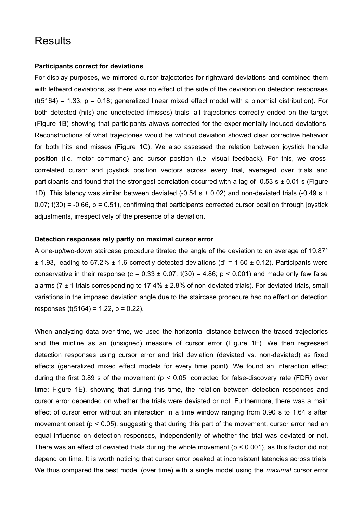# **Results**

#### **Participants correct for deviations**

For display purposes, we mirrored cursor trajectories for rightward deviations and combined them with leftward deviations, as there was no effect of the side of the deviation on detection responses  $(t(5164) = 1.33, p = 0.18$ ; generalized linear mixed effect model with a binomial distribution). For both detected (hits) and undetected (misses) trials, all trajectories correctly ended on the target (Figure 1B) showing that participants always corrected for the experimentally induced deviations. Reconstructions of what trajectories would be without deviation showed clear corrective behavior for both hits and misses (Figure 1C). We also assessed the relation between joystick handle position (i.e. motor command) and cursor position (i.e. visual feedback). For this, we crosscorrelated cursor and joystick position vectors across every trial, averaged over trials and participants and found that the strongest correlation occurred with a lag of -0.53 s  $\pm$  0.01 s (Figure 1D). This latency was similar between deviated (-0.54 s  $\pm$  0.02) and non-deviated trials (-0.49 s  $\pm$  $0.07$ ; t(30) = -0.66, p = 0.51), confirming that participants corrected cursor position through joystick adjustments, irrespectively of the presence of a deviation.

#### **Detection responses rely partly on maximal cursor error**

A one-up/two-down staircase procedure titrated the angle of the deviation to an average of 19.87°  $\pm$  1.93, leading to 67.2%  $\pm$  1.6 correctly detected deviations (d' = 1.60  $\pm$  0.12). Participants were conservative in their response (c =  $0.33 \pm 0.07$ , t(30) = 4.86; p < 0.001) and made only few false alarms (7  $\pm$  1 trials corresponding to 17.4%  $\pm$  2.8% of non-deviated trials). For deviated trials, small variations in the imposed deviation angle due to the staircase procedure had no effect on detection responses (t(5164) = 1.22,  $p = 0.22$ ).

When analyzing data over time, we used the horizontal distance between the traced trajectories and the midline as an (unsigned) measure of cursor error (Figure 1E). We then regressed detection responses using cursor error and trial deviation (deviated vs. non-deviated) as fixed effects (generalized mixed effect models for every time point). We found an interaction effect during the first 0.89 s of the movement ( $p < 0.05$ ; corrected for false-discovery rate (FDR) over time; Figure 1E), showing that during this time, the relation between detection responses and cursor error depended on whether the trials were deviated or not. Furthermore, there was a main effect of cursor error without an interaction in a time window ranging from 0.90 s to 1.64 s after movement onset (p < 0.05), suggesting that during this part of the movement, cursor error had an equal influence on detection responses, independently of whether the trial was deviated or not. There was an effect of deviated trials during the whole movement (p < 0.001), as this factor did not depend on time. It is worth noticing that cursor error peaked at inconsistent latencies across trials. We thus compared the best model (over time) with a single model using the *maximal* cursor error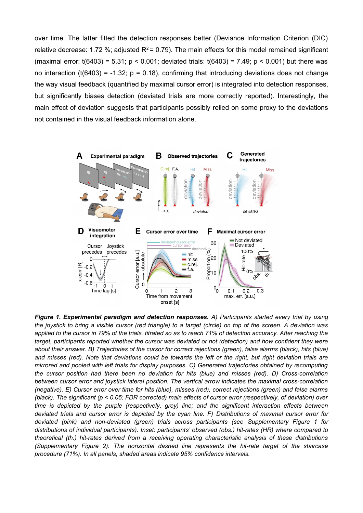over time. The latter fitted the detection responses better (Deviance Information Criterion (DIC) relative decrease: 1.72 %; adjusted  $R^2$  = 0.79). The main effects for this model remained significant (maximal error:  $t(6403) = 5.31$ ; p < 0.001; deviated trials:  $t(6403) = 7.49$ ; p < 0.001) but there was no interaction (t(6403) = -1.32;  $p = 0.18$ ), confirming that introducing deviations does not change the way visual feedback (quantified by maximal cursor error) is integrated into detection responses, but significantly biases detection (deviated trials are more correctly reported). Interestingly, the main effect of deviation suggests that participants possibly relied on some proxy to the deviations not contained in the visual feedback information alone.



*Figure 1. Experimental paradigm and detection responses. A) Participants started every trial by using the joystick to bring a visible cursor (red triangle) to a target (circle) on top of the screen. A deviation was applied to the cursor in 79% of the trials, titrated so as to reach 71% of detection accuracy. After reaching the target, participants reported whether the cursor was deviated or not (detection) and how confident they were about their answer. B) Trajectories of the cursor for correct rejections (green), false alarms (black), hits (blue) and misses (red). Note that deviations could be towards the left or the right, but right deviation trials are mirrored and pooled with left trials for display purposes. C) Generated trajectories obtained by recomputing the cursor position had there been no deviation for hits (blue) and misses (red). D) Cross-correlation between cursor error and joystick lateral position. The vertical arrow indicates the maximal cross-correlation (negative). E) Cursor error over time for hits (blue), misses (red), correct rejections (green) and false alarms (black). The significant (p < 0.05; FDR corrected) main effects of cursor error (respectively, of deviation) over time is depicted by the purple (respectively, grey) line; and the significant interaction effects between deviated trials and cursor error is depicted by the cyan line. F) Distributions of maximal cursor error for deviated (pink) and non-deviated (green) trials across participants (see Supplementary Figure 1 for distributions of individual participants). Inset: participants' observed (obs.) hit-rates (HR) where compared to theoretical (th.) hit-rates derived from a receiving operating characteristic analysis of these distributions (Supplementary Figure 2). The horizontal dashed line represents the hit-rate target of the staircase procedure (71%). In all panels, shaded areas indicate 95% confidence intervals.*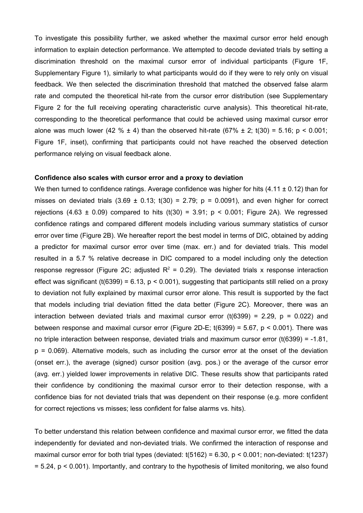To investigate this possibility further, we asked whether the maximal cursor error held enough information to explain detection performance. We attempted to decode deviated trials by setting a discrimination threshold on the maximal cursor error of individual participants (Figure 1F, Supplementary Figure 1), similarly to what participants would do if they were to rely only on visual feedback. We then selected the discrimination threshold that matched the observed false alarm rate and computed the theoretical hit-rate from the cursor error distribution (see Supplementary Figure 2 for the full receiving operating characteristic curve analysis). This theoretical hit-rate, corresponding to the theoretical performance that could be achieved using maximal cursor error alone was much lower (42 %  $\pm$  4) than the observed hit-rate (67%  $\pm$  2; t(30) = 5.16; p < 0.001; Figure 1F, inset), confirming that participants could not have reached the observed detection performance relying on visual feedback alone.

#### **Confidence also scales with cursor error and a proxy to deviation**

We then turned to confidence ratings. Average confidence was higher for hits  $(4.11 \pm 0.12)$  than for misses on deviated trials  $(3.69 \pm 0.13; t(30) = 2.79; p = 0.0091)$ , and even higher for correct rejections (4.63  $\pm$  0.09) compared to hits (t(30) = 3.91; p < 0.001; Figure 2A). We regressed confidence ratings and compared different models including various summary statistics of cursor error over time (Figure 2B). We hereafter report the best model in terms of DIC, obtained by adding a predictor for maximal cursor error over time (max. err.) and for deviated trials. This model resulted in a 5.7 % relative decrease in DIC compared to a model including only the detection response regressor (Figure 2C; adjusted  $R^2 = 0.29$ ). The deviated trials x response interaction effect was significant (t(6399) = 6.13,  $p < 0.001$ ), suggesting that participants still relied on a proxy to deviation not fully explained by maximal cursor error alone. This result is supported by the fact that models including trial deviation fitted the data better (Figure 2C). Moreover, there was an interaction between deviated trials and maximal cursor error (t(6399) = 2.29,  $p = 0.022$ ) and between response and maximal cursor error (Figure 2D-E;  $t(6399) = 5.67$ ,  $p < 0.001$ ). There was no triple interaction between response, deviated trials and maximum cursor error (t(6399) = -1.81,  $p = 0.069$ ). Alternative models, such as including the cursor error at the onset of the deviation (onset err.), the average (signed) cursor position (avg. pos.) or the average of the cursor error (avg. err.) yielded lower improvements in relative DIC. These results show that participants rated their confidence by conditioning the maximal cursor error to their detection response, with a confidence bias for not deviated trials that was dependent on their response (e.g. more confident for correct rejections vs misses; less confident for false alarms vs. hits).

To better understand this relation between confidence and maximal cursor error, we fitted the data independently for deviated and non-deviated trials. We confirmed the interaction of response and maximal cursor error for both trial types (deviated:  $t(5162) = 6.30$ , p < 0.001; non-deviated:  $t(1237)$ = 5.24, p < 0.001). Importantly, and contrary to the hypothesis of limited monitoring, we also found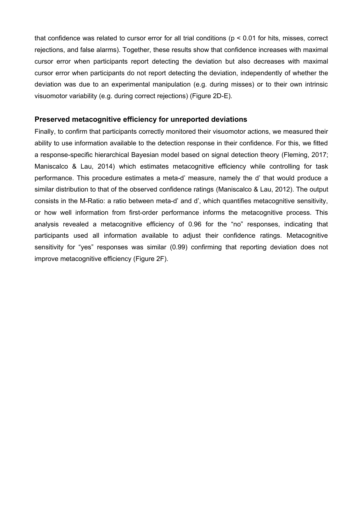that confidence was related to cursor error for all trial conditions (p < 0.01 for hits, misses, correct rejections, and false alarms). Together, these results show that confidence increases with maximal cursor error when participants report detecting the deviation but also decreases with maximal cursor error when participants do not report detecting the deviation, independently of whether the deviation was due to an experimental manipulation (e.g. during misses) or to their own intrinsic visuomotor variability (e.g. during correct rejections) (Figure 2D-E).

#### **Preserved metacognitive efficiency for unreported deviations**

Finally, to confirm that participants correctly monitored their visuomotor actions, we measured their ability to use information available to the detection response in their confidence. For this, we fitted a response-specific hierarchical Bayesian model based on signal detection theory (Fleming, 2017; Maniscalco & Lau, 2014) which estimates metacognitive efficiency while controlling for task performance. This procedure estimates a meta-d' measure, namely the d' that would produce a similar distribution to that of the observed confidence ratings (Maniscalco & Lau, 2012). The output consists in the M-Ratio: a ratio between meta-d' and d', which quantifies metacognitive sensitivity, or how well information from first-order performance informs the metacognitive process. This analysis revealed a metacognitive efficiency of 0.96 for the "no" responses, indicating that participants used all information available to adjust their confidence ratings. Metacognitive sensitivity for "yes" responses was similar (0.99) confirming that reporting deviation does not improve metacognitive efficiency (Figure 2F).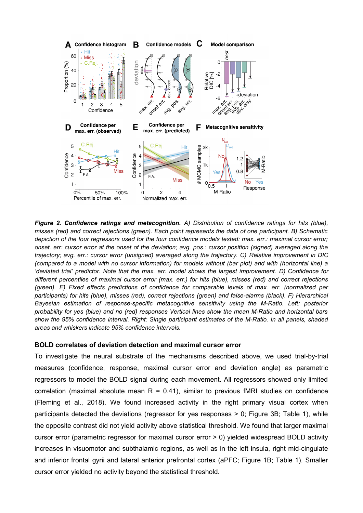

*Figure 2. Confidence ratings and metacognition. A) Distribution of confidence ratings for hits (blue), misses (red) and correct rejections (green). Each point represents the data of one participant. B) Schematic depiction of the four regressors used for the four confidence models tested: max. err.: maximal cursor error; onset. err: cursor error at the onset of the deviation; avg. pos.: cursor position (signed) averaged along the trajectory; avg. err.: cursor error (unsigned) averaged along the trajectory. C) Relative improvement in DIC (compared to a model with no cursor information) for models without (bar plot) and with (horizontal line) a 'deviated trial' predictor. Note that the max. err. model shows the largest improvement. D) Confidence for different percentiles of maximal cursor error (max. err.) for hits (blue), misses (red) and correct rejections (green). E) Fixed effects predictions of confidence for comparable levels of max. err. (normalized per participants) for hits (blue), misses (red), correct rejections (green) and false-alarms (black). F) Hierarchical Bayesian estimation of response-specific metacognitive sensitivity using the M-Ratio. Left: posterior probability for yes (blue) and no (red) responses Vertical lines show the mean M-Ratio and horizontal bars show the 95% confidence interval. Right: Single participant estimates of the M-Ratio. In all panels, shaded areas and whiskers indicate 95% confidence intervals.*

#### **BOLD correlates of deviation detection and maximal cursor error**

To investigate the neural substrate of the mechanisms described above, we used trial-by-trial measures (confidence, response, maximal cursor error and deviation angle) as parametric regressors to model the BOLD signal during each movement. All regressors showed only limited correlation (maximal absolute mean  $R = 0.41$ ), similar to previous fMRI studies on confidence (Fleming et al., 2018). We found increased activity in the right primary visual cortex when participants detected the deviations (regressor for yes responses > 0; Figure 3B; Table 1), while the opposite contrast did not yield activity above statistical threshold. We found that larger maximal cursor error (parametric regressor for maximal cursor error > 0) yielded widespread BOLD activity increases in visuomotor and subthalamic regions, as well as in the left insula, right mid-cingulate and inferior frontal gyrii and lateral anterior prefrontal cortex (aPFC; Figure 1B; Table 1). Smaller cursor error yielded no activity beyond the statistical threshold.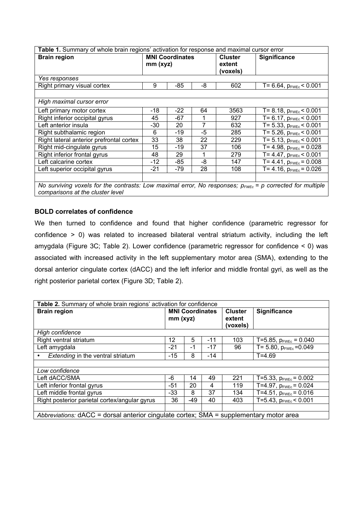| Table 1. Summary of whole brain regions' activation for response and maximal cursor error                                                         |         |                        |    |                                      |                                    |  |  |  |  |  |
|---------------------------------------------------------------------------------------------------------------------------------------------------|---------|------------------------|----|--------------------------------------|------------------------------------|--|--|--|--|--|
| <b>Brain region</b>                                                                                                                               | mm(xyz) | <b>MNI Coordinates</b> |    | <b>Cluster</b><br>extent<br>(voxels) | <b>Significance</b>                |  |  |  |  |  |
| Yes responses                                                                                                                                     |         |                        |    |                                      |                                    |  |  |  |  |  |
| Right primary visual cortex                                                                                                                       | 9       | -85                    | -8 | 602                                  | T= 6.64, $p_{\text{FWEC}}$ < 0.001 |  |  |  |  |  |
|                                                                                                                                                   |         |                        |    |                                      |                                    |  |  |  |  |  |
| High maximal cursor error                                                                                                                         |         |                        |    |                                      |                                    |  |  |  |  |  |
| Left primary motor cortex                                                                                                                         | -18     | $-22$                  | 64 | 3563                                 | $T = 8.18$ , $p_{FWEc}$ < 0.001    |  |  |  |  |  |
| Right inferior occipital gyrus                                                                                                                    | 45      | $-67$                  |    | 927                                  | T= 6.17, $p_{\text{FWEC}}$ < 0.001 |  |  |  |  |  |
| Left anterior insula                                                                                                                              | -30     | 20                     | 7  | 632                                  | T= 5.33, $p_{\text{FWEC}}$ < 0.001 |  |  |  |  |  |
| Right subthalamic region                                                                                                                          | 6       | -19                    | -5 | 285                                  | T= 5.26, $p_{\text{FWEC}}$ < 0.001 |  |  |  |  |  |
| Right lateral anterior prefrontal cortex                                                                                                          | 33      | 38                     | 22 | 229                                  | T= 5.13, $p_{\text{FWEC}}$ < 0.001 |  |  |  |  |  |
| Right mid-cingulate gyrus                                                                                                                         | 15      | $-19$                  | 37 | 106                                  | T= 4.98, $p_{\text{FWEc}}$ = 0.028 |  |  |  |  |  |
| Right inferior frontal gyrus                                                                                                                      | 48      | 29                     |    | 279                                  | T= 4.47, $p_{\text{FWEC}}$ < 0.001 |  |  |  |  |  |
| Left calcarine cortex                                                                                                                             | -12     | -85                    | -8 | 147                                  | $T = 4.41$ , $p_{FWEC} = 0.008$    |  |  |  |  |  |
| Left superior occipital gyrus                                                                                                                     | -21     | -79                    | 28 | 108                                  | T= 4.16, $p_{\text{FWEc}}$ = 0.026 |  |  |  |  |  |
|                                                                                                                                                   |         |                        |    |                                      |                                    |  |  |  |  |  |
| No surviving voxels for the contrasts: Low maximal error, No responses; $p_{FWEc} = p$ corrected for multiple<br>comparisons at the cluster level |         |                        |    |                                      |                                    |  |  |  |  |  |

**BOLD correlates of confidence**

We then turned to confidence and found that higher confidence (parametric regressor for confidence > 0) was related to increased bilateral ventral striatum activity, including the left amygdala (Figure 3C; Table 2). Lower confidence (parametric regressor for confidence < 0) was associated with increased activity in the left supplementary motor area (SMA), extending to the dorsal anterior cingulate cortex (dACC) and the left inferior and middle frontal gyri, as well as the right posterior parietal cortex (Figure 3D; Table 2).

| Table 2. Summary of whole brain regions' activation for confidence                     |                                      |       |                                      |              |                                      |  |  |  |  |
|----------------------------------------------------------------------------------------|--------------------------------------|-------|--------------------------------------|--------------|--------------------------------------|--|--|--|--|
| <b>Brain region</b>                                                                    | <b>MNI Coordinates</b><br>$mm$ (xyz) |       | <b>Cluster</b><br>extent<br>(voxels) | Significance |                                      |  |  |  |  |
| High confidence                                                                        |                                      |       |                                      |              |                                      |  |  |  |  |
| Right ventral striatum                                                                 | 12                                   | 5     | $-11$                                | 103          | $T=5.85$ , $p_{\text{FWEc}} = 0.040$ |  |  |  |  |
| Left amygdala                                                                          | $-21$                                | $-1$  | $-17$                                | 96           | T= 5.80, $p_{\text{FWEC}} = 0.049$   |  |  |  |  |
| <b>Extending in the ventral striatum</b>                                               | $-15$                                | 8     | $-14$                                |              | $T = 4.69$                           |  |  |  |  |
|                                                                                        |                                      |       |                                      |              |                                      |  |  |  |  |
| Low confidence                                                                         |                                      |       |                                      |              |                                      |  |  |  |  |
| Left dACC/SMA                                                                          | -6                                   | 14    | 49                                   | 221          | T=5.33, $p_{\text{FWEc}}$ = 0.002    |  |  |  |  |
| Left inferior frontal gyrus                                                            | $-51$                                | 20    | 4                                    | 119          | T=4.97, $p_{\text{FWEc}} = 0.024$    |  |  |  |  |
| Left middle frontal gyrus                                                              | $-33$                                | 8     | 37                                   | 134          | T=4.51, $p_{FWEC} = 0.016$           |  |  |  |  |
| Right posterior parietal cortex/angular gyrus                                          | 36                                   | $-49$ | 40                                   | 403          | T=5.43, $p_{FWEC}$ < 0.001           |  |  |  |  |
|                                                                                        |                                      |       |                                      |              |                                      |  |  |  |  |
| Abbreviations: dACC = dorsal anterior cingulate cortex; SMA = supplementary motor area |                                      |       |                                      |              |                                      |  |  |  |  |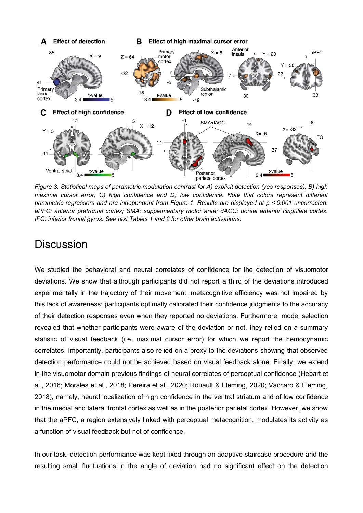

*Figure 3. Statistical maps of parametric modulation contrast for A) explicit detection (yes responses), B) high maximal cursor error, C) high confidence and D) low confidence. Note that colors represent different parametric regressors and are independent from Figure 1. Results are displayed at p < 0.001 uncorrected. aPFC: anterior prefrontal cortex; SMA: supplementary motor area; dACC: dorsal anterior cingulate cortex. IFG: inferior frontal gyrus. See text Tables 1 and 2 for other brain activations.* 

# **Discussion**

We studied the behavioral and neural correlates of confidence for the detection of visuomotor deviations. We show that although participants did not report a third of the deviations introduced experimentally in the trajectory of their movement, metacognitive efficiency was not impaired by this lack of awareness; participants optimally calibrated their confidence judgments to the accuracy of their detection responses even when they reported no deviations. Furthermore, model selection revealed that whether participants were aware of the deviation or not, they relied on a summary statistic of visual feedback (i.e. maximal cursor error) for which we report the hemodynamic correlates. Importantly, participants also relied on a proxy to the deviations showing that observed detection performance could not be achieved based on visual feedback alone. Finally, we extend in the visuomotor domain previous findings of neural correlates of perceptual confidence (Hebart et al., 2016; Morales et al., 2018; Pereira et al., 2020; Rouault & Fleming, 2020; Vaccaro & Fleming, 2018), namely, neural localization of high confidence in the ventral striatum and of low confidence in the medial and lateral frontal cortex as well as in the posterior parietal cortex. However, we show that the aPFC, a region extensively linked with perceptual metacognition, modulates its activity as a function of visual feedback but not of confidence.

In our task, detection performance was kept fixed through an adaptive staircase procedure and the resulting small fluctuations in the angle of deviation had no significant effect on the detection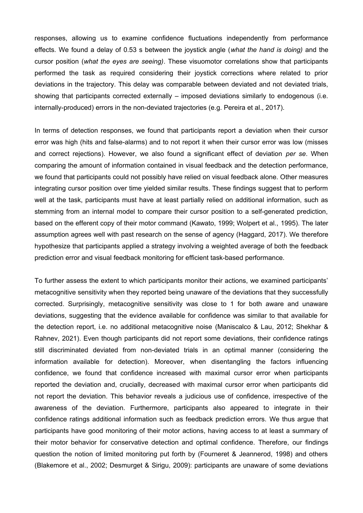responses, allowing us to examine confidence fluctuations independently from performance effects. We found a delay of 0.53 s between the joystick angle (*what the hand is doing)* and the cursor position (*what the eyes are seeing)*. These visuomotor correlations show that participants performed the task as required considering their joystick corrections where related to prior deviations in the trajectory. This delay was comparable between deviated and not deviated trials, showing that participants corrected externally – imposed deviations similarly to endogenous (i.e. internally-produced) errors in the non-deviated trajectories (e.g. Pereira et al., 2017).

In terms of detection responses, we found that participants report a deviation when their cursor error was high (hits and false-alarms) and to not report it when their cursor error was low (misses and correct rejections). However, we also found a significant effect of deviation *per se*. When comparing the amount of information contained in visual feedback and the detection performance, we found that participants could not possibly have relied on visual feedback alone. Other measures integrating cursor position over time yielded similar results. These findings suggest that to perform well at the task, participants must have at least partially relied on additional information, such as stemming from an internal model to compare their cursor position to a self-generated prediction, based on the efferent copy of their motor command (Kawato, 1999; Wolpert et al., 1995). The later assumption agrees well with past research on the sense of agency (Haggard, 2017). We therefore hypothesize that participants applied a strategy involving a weighted average of both the feedback prediction error and visual feedback monitoring for efficient task-based performance.

To further assess the extent to which participants monitor their actions, we examined participants' metacognitive sensitivity when they reported being unaware of the deviations that they successfully corrected. Surprisingly, metacognitive sensitivity was close to 1 for both aware and unaware deviations, suggesting that the evidence available for confidence was similar to that available for the detection report, i.e. no additional metacognitive noise (Maniscalco & Lau, 2012; Shekhar & Rahnev, 2021). Even though participants did not report some deviations, their confidence ratings still discriminated deviated from non-deviated trials in an optimal manner (considering the information available for detection). Moreover, when disentangling the factors influencing confidence, we found that confidence increased with maximal cursor error when participants reported the deviation and, crucially, decreased with maximal cursor error when participants did not report the deviation. This behavior reveals a judicious use of confidence, irrespective of the awareness of the deviation. Furthermore, participants also appeared to integrate in their confidence ratings additional information such as feedback prediction errors. We thus argue that participants have good monitoring of their motor actions, having access to at least a summary of their motor behavior for conservative detection and optimal confidence. Therefore, our findings question the notion of limited monitoring put forth by (Fourneret & Jeannerod, 1998) and others (Blakemore et al., 2002; Desmurget & Sirigu, 2009): participants are unaware of some deviations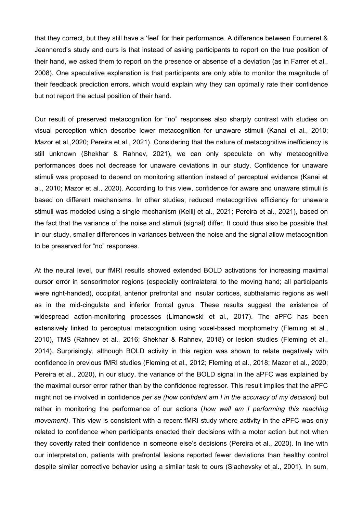that they correct, but they still have a 'feel' for their performance. A difference between Fourneret & Jeannerod's study and ours is that instead of asking participants to report on the true position of their hand, we asked them to report on the presence or absence of a deviation (as in Farrer et al., 2008). One speculative explanation is that participants are only able to monitor the magnitude of their feedback prediction errors, which would explain why they can optimally rate their confidence but not report the actual position of their hand.

Our result of preserved metacognition for "no" responses also sharply contrast with studies on visual perception which describe lower metacognition for unaware stimuli (Kanai et al., 2010; Mazor et al.,2020; Pereira et al., 2021). Considering that the nature of metacognitive inefficiency is still unknown (Shekhar & Rahnev, 2021), we can only speculate on why metacognitive performances does not decrease for unaware deviations in our study. Confidence for unaware stimuli was proposed to depend on monitoring attention instead of perceptual evidence (Kanai et al., 2010; Mazor et al., 2020). According to this view, confidence for aware and unaware stimuli is based on different mechanisms. In other studies, reduced metacognitive efficiency for unaware stimuli was modeled using a single mechanism (Kellij et al., 2021; Pereira et al., 2021), based on the fact that the variance of the noise and stimuli (signal) differ. It could thus also be possible that in our study, smaller differences in variances between the noise and the signal allow metacognition to be preserved for "no" responses.

At the neural level, our fMRI results showed extended BOLD activations for increasing maximal cursor error in sensorimotor regions (especially contralateral to the moving hand; all participants were right-handed), occipital, anterior prefrontal and insular cortices, subthalamic regions as well as in the mid-cingulate and inferior frontal gyrus. These results suggest the existence of widespread action-monitoring processes (Limanowski et al., 2017). The aPFC has been extensively linked to perceptual metacognition using voxel-based morphometry (Fleming et al., 2010), TMS (Rahnev et al., 2016; Shekhar & Rahnev, 2018) or lesion studies (Fleming et al., 2014). Surprisingly, although BOLD activity in this region was shown to relate negatively with confidence in previous fMRI studies (Fleming et al., 2012; Fleming et al., 2018; Mazor et al., 2020; Pereira et al., 2020), in our study, the variance of the BOLD signal in the aPFC was explained by the maximal cursor error rather than by the confidence regressor. This result implies that the aPFC might not be involved in confidence *per se (how confident am I in the accuracy of my decision)* but rather in monitoring the performance of our actions (*how well am I performing this reaching movement)*. This view is consistent with a recent fMRI study where activity in the aPFC was only related to confidence when participants enacted their decisions with a motor action but not when they covertly rated their confidence in someone else's decisions (Pereira et al., 2020). In line with our interpretation, patients with prefrontal lesions reported fewer deviations than healthy control despite similar corrective behavior using a similar task to ours (Slachevsky et al., 2001). In sum,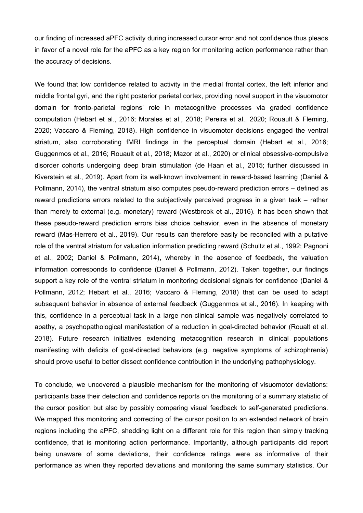our finding of increased aPFC activity during increased cursor error and not confidence thus pleads in favor of a novel role for the aPFC as a key region for monitoring action performance rather than the accuracy of decisions.

We found that low confidence related to activity in the medial frontal cortex, the left inferior and middle frontal gyri, and the right posterior parietal cortex, providing novel support in the visuomotor domain for fronto-parietal regions' role in metacognitive processes via graded confidence computation (Hebart et al., 2016; Morales et al., 2018; Pereira et al., 2020; Rouault & Fleming, 2020; Vaccaro & Fleming, 2018). High confidence in visuomotor decisions engaged the ventral striatum, also corroborating fMRI findings in the perceptual domain (Hebart et al., 2016; Guggenmos et al., 2016; Rouault et al., 2018; Mazor et al., 2020) or clinical obsessive-compulsive disorder cohorts undergoing deep brain stimulation (de Haan et al., 2015; further discussed in Kiverstein et al., 2019). Apart from its well-known involvement in reward-based learning (Daniel & Pollmann, 2014), the ventral striatum also computes pseudo-reward prediction errors – defined as reward predictions errors related to the subjectively perceived progress in a given task – rather than merely to external (e.g. monetary) reward (Westbrook et al., 2016). It has been shown that these pseudo-reward prediction errors bias choice behavior, even in the absence of monetary reward (Mas-Herrero et al., 2019). Our results can therefore easily be reconciled with a putative role of the ventral striatum for valuation information predicting reward (Schultz et al., 1992; Pagnoni et al., 2002; Daniel & Pollmann, 2014), whereby in the absence of feedback, the valuation information corresponds to confidence (Daniel & Pollmann, 2012). Taken together, our findings support a key role of the ventral striatum in monitoring decisional signals for confidence (Daniel & Pollmann, 2012; Hebart et al., 2016; Vaccaro & Fleming, 2018) that can be used to adapt subsequent behavior in absence of external feedback (Guggenmos et al., 2016). In keeping with this, confidence in a perceptual task in a large non-clinical sample was negatively correlated to apathy, a psychopathological manifestation of a reduction in goal-directed behavior (Roualt et al. 2018). Future research initiatives extending metacognition research in clinical populations manifesting with deficits of goal-directed behaviors (e.g. negative symptoms of schizophrenia) should prove useful to better dissect confidence contribution in the underlying pathophysiology.

To conclude, we uncovered a plausible mechanism for the monitoring of visuomotor deviations: participants base their detection and confidence reports on the monitoring of a summary statistic of the cursor position but also by possibly comparing visual feedback to self-generated predictions. We mapped this monitoring and correcting of the cursor position to an extended network of brain regions including the aPFC, shedding light on a different role for this region than simply tracking confidence, that is monitoring action performance. Importantly, although participants did report being unaware of some deviations, their confidence ratings were as informative of their performance as when they reported deviations and monitoring the same summary statistics. Our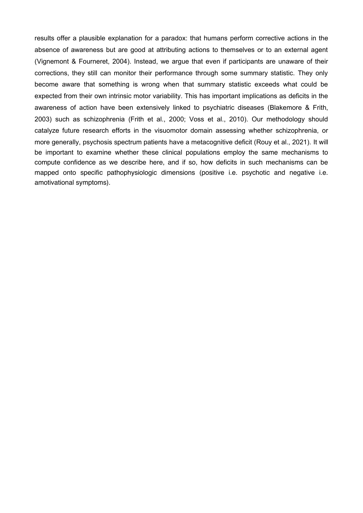results offer a plausible explanation for a paradox: that humans perform corrective actions in the absence of awareness but are good at attributing actions to themselves or to an external agent (Vignemont & Fourneret, 2004). Instead, we argue that even if participants are unaware of their corrections, they still can monitor their performance through some summary statistic. They only become aware that something is wrong when that summary statistic exceeds what could be expected from their own intrinsic motor variability. This has important implications as deficits in the awareness of action have been extensively linked to psychiatric diseases (Blakemore & Frith, 2003) such as schizophrenia (Frith et al., 2000; Voss et al., 2010). Our methodology should catalyze future research efforts in the visuomotor domain assessing whether schizophrenia, or more generally, psychosis spectrum patients have a metacognitive deficit (Rouy et al., 2021). It will be important to examine whether these clinical populations employ the same mechanisms to compute confidence as we describe here, and if so, how deficits in such mechanisms can be mapped onto specific pathophysiologic dimensions (positive i.e. psychotic and negative i.e. amotivational symptoms).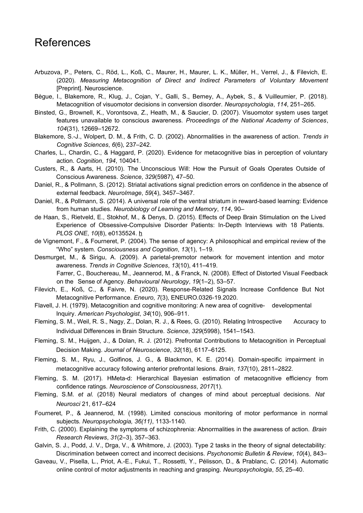# References

- Arbuzova, P., Peters, C., Röd, L., Koß, C., Maurer, H., Maurer, L. K., Müller, H., Verrel, J., & Filevich, E. (2020). *Measuring Metacognition of Direct and Indirect Parameters of Voluntary Movement* [Preprint]. Neuroscience.
- Bègue, I., Blakemore, R., Klug, J., Cojan, Y., Galli, S., Berney, A., Aybek, S., & Vuilleumier, P. (2018). Metacognition of visuomotor decisions in conversion disorder. *Neuropsychologia*, *114*, 251–265.
- Binsted, G., Brownell, K., Vorontsova, Z., Heath, M., & Saucier, D. (2007). Visuomotor system uses target features unavailable to conscious awareness. *Proceedings of the National Academy of Sciences*, *104*(31), 12669–12672.
- Blakemore, S.-J., Wolpert, D. M., & Frith, C. D. (2002). Abnormalities in the awareness of action. *Trends in Cognitive Sciences*, *6*(6), 237–242.
- Charles, L., Chardin, C., & Haggard, P. (2020). Evidence for metacognitive bias in perception of voluntary action. *Cognition*, *194*, 104041.
- Custers, R., & Aarts, H. (2010). The Unconscious Will: How the Pursuit of Goals Operates Outside of Conscious Awareness. *Science*, *329*(5987), 47–50.
- Daniel, R., & Pollmann, S. (2012). Striatal activations signal prediction errors on confidence in the absence of external feedback. *NeuroImage*, *59*(4), 3457–3467.
- Daniel, R., & Pollmann, S. (2014). A universal role of the ventral striatum in reward-based learning: Evidence from human studies. *Neurobiology of Learning and Memory*, *114*, 90–
- de Haan, S., Rietveld, E., Stokhof, M., & Denys, D. (2015). Effects of Deep Brain Stimulation on the Lived Experience of Obsessive-Compulsive Disorder Patients: In-Depth Interviews with 18 Patients. *PLOS ONE*, *10*(8), e0135524. [h](https://doi.org/10.1371/journal.pone.0135524)
- de Vignemont, F., & Fourneret, P. (2004). The sense of agency: A philosophical and empirical review of the "Who" system. *Consciousness and Cognition*, *13*(1), 1–19.
- Desmurget, M., & Sirigu, A. (2009). A parietal-premotor network for movement intention and motor awareness. *Trends in Cognitive Sciences*, *13*(10), 411–419. Farrer, C., Bouchereau, M., Jeannerod, M., & Franck, N. (2008). Effect of Distorted Visual Feedback on the Sense of Agency. *Behavioural Neurology*, *19*(1–2), 53–57.
- Filevich, E., Koß, C., & Faivre, N. (2020). Response-Related Signals Increase Confidence But Not Metacognitive Performance. *Eneuro*, *7*(3), ENEURO.0326-19.2020.
- Flavell, J. H. (1979). Metacognition and cognitive monitoring: A new area of cognitive- developmental Inquiry. *American Psychologist*, *34*(10), 906–911.
- Fleming, S. M., Weil, R. S., Nagy, Z., Dolan, R. J., & Rees, G. (2010). Relating Introspective Accuracy to Individual Differences in Brain Structure. *Science*, *329*(5998), 1541–1543.
- Fleming, S. M., Huijgen, J., & Dolan, R. J. (2012). Prefrontal Contributions to Metacognition in Perceptual Decision Making. *Journal of Neuroscience*, *32*(18), 6117–6125.
- Fleming, S. M., Ryu, J., Golfinos, J. G., & Blackmon, K. E. (2014). Domain-specific impairment in metacognitive accuracy following anterior prefrontal lesions. *Brain*, *137*(10), 2811–2822.
- Fleming, S. M. (2017). HMeta-d: Hierarchical Bayesian estimation of metacognitive efficiency from confidence ratings. *Neuroscience of Consciousness*, *2017*(1).
- Fleming, S.M. *et al.* (2018) Neural mediators of changes of mind about perceptual decisions. *Nat Neurosci* 21, 617–624
- Fourneret, P., & Jeannerod, M. (1998). Limited conscious monitoring of motor performance in normal subjects. *Neuropsychologia, 36(11)*, 1133-1140.
- Frith, C. (2000). Explaining the symptoms of schizophrenia: Abnormalities in the awareness of action. *Brain Research Reviews*, *31*(2–3), 357–363.
- Galvin, S. J., Podd, J. V., Drga, V., & Whitmore, J. (2003). Type 2 tasks in the theory of signal detectability: Discrimination between correct and incorrect decisions. *Psychonomic Bulletin & Review*, *10*(4), 843–
- Gaveau, V., Pisella, L., Priot, A.-E., Fukui, T., Rossetti, Y., Pélisson, D., & Prablanc, C. (2014). Automatic online control of motor adjustments in reaching and grasping. *Neuropsychologia*, *55*, 25–40.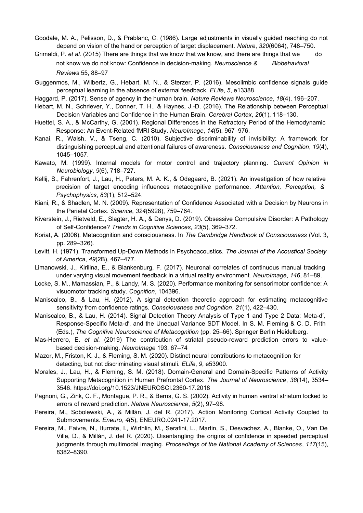- Goodale, M. A., Pelisson, D., & Prablanc, C. (1986). Large adjustments in visually guided reaching do not depend on vision of the hand or perception of target displacement. *Nature*, *320*(6064), 748–750.
- Grimaldi, P. *et al.* (2015) There are things that we know that we know, and there are things that we do not know we do not know: Confidence in decision-making. *Neuroscience & Biobehavioral Reviews* 55, 88–97
- Guggenmos, M., Wilbertz, G., Hebart, M. N., & Sterzer, P. (2016). Mesolimbic confidence signals guide perceptual learning in the absence of external feedback. *ELife*, *5*, e13388.
- Haggard, P. (2017). Sense of agency in the human brain. *Nature Reviews Neuroscience*, *18*(4), 196–207.
- Hebart, M. N., Schriever, Y., Donner, T. H., & Haynes, J.-D. (2016). The Relationship between Perceptual Decision Variables and Confidence in the Human Brain. *Cerebral Cortex*, *26*(1), 118–130.
- Huettel, S. A., & McCarthy, G. (2001). Regional Differences in the Refractory Period of the Hemodynamic Response: An Event-Related fMRI Study. *NeuroImage*, *14*(5), 967–976.
- Kanai, R., Walsh, V., & Tseng, C. (2010). Subjective discriminability of invisibility: A framework for distinguishing perceptual and attentional failures of awareness. *Consciousness and Cognition*, *19*(4), 1045–1057.
- Kawato, M. (1999). Internal models for motor control and trajectory planning. *Current Opinion in Neurobiology*, *9*(6), 718–727.
- Kellij, S., Fahrenfort, J., Lau, H., Peters, M. A. K., & Odegaard, B. (2021). An investigation of how relative precision of target encoding influences metacognitive performance. *Attention, Perception, & Psychophysics*, *83*(1), 512–524.
- Kiani, R., & Shadlen, M. N. (2009). Representation of Confidence Associated with a Decision by Neurons in the Parietal Cortex. *Science*, *324*(5928), 759–764.
- Kiverstein, J., Rietveld, E., Slagter, H. A., & Denys, D. (2019). Obsessive Compulsive Disorder: A Pathology of Self-Confidence? *Trends in Cognitive Sciences*, *23*(5), 369–372.
- Koriat, A. (2006). Metacognition and consciousness. In *The Cambridge Handbook of Consciousness* (Vol. 3, pp. 289–326).
- Levitt, H. (1971). Transformed Up-Down Methods in Psychoacoustics. The Journal of the Acoustical Society *of America*, *49*(2B), 467–477.
- Limanowski, J., Kirilina, E., & Blankenburg, F. (2017). Neuronal correlates of continuous manual tracking under varying visual movement feedback in a virtual reality environment. *NeuroImage*, *146*, 81–89.
- Locke, S. M., Mamassian, P., & Landy, M. S. (2020). Performance monitoring for sensorimotor confidence: A visuomotor tracking study. *Cognition*, 104396.
- Maniscalco, B., & Lau, H. (2012). A signal detection theoretic approach for estimating metacognitive sensitivity from confidence ratings. *Consciousness and Cognition*, *21*(1), 422–430.
- Maniscalco, B., & Lau, H. (2014). Signal Detection Theory Analysis of Type 1 and Type 2 Data: Meta-d′, Response-Specific Meta-d′, and the Unequal Variance SDT Model. In S. M. Fleming & C. D. Frith (Eds.), *The Cognitive Neuroscience of Metacognition* (pp. 25–66). Springer Berlin Heidelberg.
- Mas-Herrero, E. *et al.* (2019) The contribution of striatal pseudo-reward prediction errors to valuebased decision-making. *NeuroImage* 193, 67–74
- Mazor, M., Friston, K. J., & Fleming, S. M. (2020). Distinct neural contributions to metacognition for detecting, but not discriminating visual stimuli. *ELife*, *9*, e53900.
- Morales, J., Lau, H., & Fleming, S. M. (2018). Domain-General and Domain-Specific Patterns of Activity Supporting Metacognition in Human Prefrontal Cortex. *The Journal of Neuroscience*, *38*(14), 3534– 3546. https://doi.org/10.1523/JNEUROSCI.2360-17.2018
- Pagnoni, G., Zink, C. F., Montague, P. R., & Berns, G. S. (2002). Activity in human ventral striatum locked to errors of reward prediction. *Nature Neuroscience*, *5*(2), 97–98.
- Pereira, M., Sobolewski, A., & Millán, J. del R. (2017). Action Monitoring Cortical Activity Coupled to Submovements. *Eneuro*, *4*(5), ENEURO.0241-17.2017.
- Pereira, M., Faivre, N., Iturrate, I., Wirthlin, M., Serafini, L., Martin, S., Desvachez, A., Blanke, O., Van De Ville, D., & Millán, J. del R. (2020). Disentangling the origins of confidence in speeded perceptual judgments through multimodal imaging. *Proceedings of the National Academy of Sciences*, *117*(15), 8382–8390.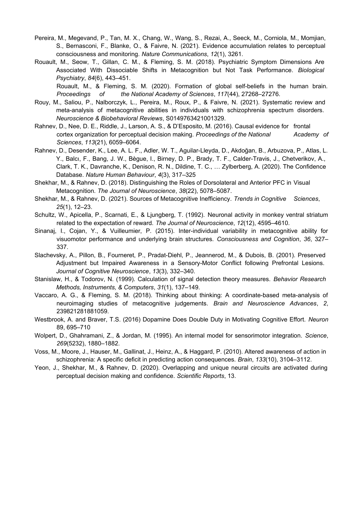- Pereira, M., Megevand, P., Tan, M. X., Chang, W., Wang, S., Rezai, A., Seeck, M., Corniola, M., Momjian, S., Bernasconi, F., Blanke, O., & Faivre, N. (2021). Evidence accumulation relates to perceptual consciousness and monitoring. *Nature Communications*, *12*(1), 3261.
- Rouault, M., Seow, T., Gillan, C. M., & Fleming, S. M. (2018). Psychiatric Symptom Dimensions Are Associated With Dissociable Shifts in Metacognition but Not Task Performance. *Biological Psychiatry*, *84*(6), 443–451.

Rouault, M., & Fleming, S. M. (2020). Formation of global self-beliefs in the human brain. *Proceedings of the National Academy of Sciences*, *117*(44), 27268–27276.

- Rouy, M., Saliou, P., Nalborczyk, L., Pereira, M., Roux, P., & Faivre, N. (2021). Systematic review and meta-analysis of metacognitive abilities in individuals with schizophrenia spectrum disorders. *Neuroscience & Biobehavioral Reviews*, S0149763421001329.
- Rahnev, D., Nee, D. E., Riddle, J., Larson, A. S., & D'Esposito, M. (2016). Causal evidence for frontal cortex organization for perceptual decision making. *Proceedings of the National* Academy of *Sciences*, *113*(21), 6059–6064.
- Rahnev, D., Desender, K., Lee, A. L. F., Adler, W. T., Aguilar-Lleyda, D., Akdoğan, B., Arbuzova, P., Atlas, L. Y., Balcı, F., Bang, J. W., Bègue, I., Birney, D. P., Brady, T. F., Calder-Travis, J., Chetverikov, A., Clark, T. K., Davranche, K., Denison, R. N., Dildine, T. C., … Zylberberg, A. (2020). The Confidence Database. *Nature Human Behaviour*, *4*(3), 317–325
- Shekhar, M., & Rahnev, D. (2018). Distinguishing the Roles of Dorsolateral and Anterior PFC in Visual Metacognition. *The Journal of Neuroscience*, *38*(22), 5078–5087.
- Shekhar, M., & Rahnev, D. (2021). Sources of Metacognitive Inefficiency. *Trends in Cognitive Sciences*, *25*(1), 12–23.
- Schultz, W., Apicella, P., Scarnati, E., & Ljungberg, T. (1992). Neuronal activity in monkey ventral striatum related to the expectation of reward. *The Journal of Neuroscience*, *12*(12), 4595–4610.
- Sinanaj, I., Cojan, Y., & Vuilleumier, P. (2015). Inter-individual variability in metacognitive ability for visuomotor performance and underlying brain structures. *Consciousness and Cognition*, *36*, 327– 337.
- Slachevsky, A., Pillon, B., Fourneret, P., Pradat-Diehl, P., Jeannerod, M., & Dubois, B. (2001). Preserved Adjustment but Impaired Awareness in a Sensory-Motor Conflict following Prefrontal Lesions. *Journal of Cognitive Neuroscience*, *13*(3), 332–340.
- Stanislaw, H., & Todorov, N. (1999). Calculation of signal detection theory measures. *Behavior Research Methods, Instruments, & Computers*, *31*(1), 137–149.
- Vaccaro, A. G., & Fleming, S. M. (2018). Thinking about thinking: A coordinate-based meta-analysis of neuroimaging studies of metacognitive judgements. *Brain and Neuroscience Advances*, *2*, 239821281881059.
- Westbrook, A. and Braver, T.S. (2016) Dopamine Does Double Duty in Motivating Cognitive Effort. *Neuron* 89, 695–710
- Wolpert, D., Ghahramani, Z., & Jordan, M. (1995). An internal model for sensorimotor integration. *Science*, *269*(5232), 1880–1882.
- Voss, M., Moore, J., Hauser, M., Gallinat, J., Heinz, A., & Haggard, P. (2010). Altered awareness of action in schizophrenia: A specific deficit in predicting action consequences. *Brain*, *133*(10), 3104–3112.
- Yeon, J., Shekhar, M., & Rahnev, D. (2020). Overlapping and unique neural circuits are activated during perceptual decision making and confidence. *Scientific Reports*, 13.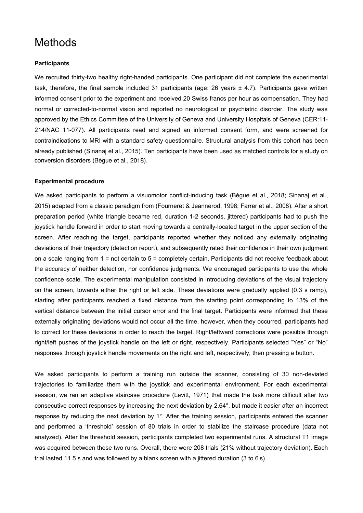# **Methods**

#### **Participants**

We recruited thirty-two healthy right-handed participants. One participant did not complete the experimental task, therefore, the final sample included 31 participants (age: 26 years ± 4.7). Participants gave written informed consent prior to the experiment and received 20 Swiss francs per hour as compensation. They had normal or corrected-to-normal vision and reported no neurological or psychiatric disorder. The study was approved by the Ethics Committee of the University of Geneva and University Hospitals of Geneva (CER:11- 214/NAC 11-077). All participants read and signed an informed consent form, and were screened for contraindications to MRI with a standard safety questionnaire. Structural analysis from this cohort has been already published (Sinanaj et al., 2015). Ten participants have been used as matched controls for a study on conversion disorders (Bègue et al., 2018).

#### **Experimental procedure**

We asked participants to perform a visuomotor conflict-inducing task (Bèque et al., 2018; Sinanaj et al., 2015) adapted from a classic paradigm from (Fourneret & Jeannerod, 1998; Farrer et al., 2008). After a short preparation period (white triangle became red, duration 1-2 seconds, jittered) participants had to push the joystick handle forward in order to start moving towards a centrally-located target in the upper section of the screen. After reaching the target, participants reported whether they noticed any externally originating deviations of their trajectory (detection report), and subsequently rated their confidence in their own judgment on a scale ranging from 1 = not certain to 5 = completely certain. Participants did not receive feedback about the accuracy of neither detection, nor confidence judgments. We encouraged participants to use the whole confidence scale. The experimental manipulation consisted in introducing deviations of the visual trajectory on the screen, towards either the right or left side. These deviations were gradually applied (0.3 s ramp), starting after participants reached a fixed distance from the starting point corresponding to 13% of the vertical distance between the initial cursor error and the final target. Participants were informed that these externally originating deviations would not occur all the time, however, when they occurred, participants had to correct for these deviations in order to reach the target. Right/leftward corrections were possible through right/left pushes of the joystick handle on the left or right, respectively. Participants selected "Yes" or "No" responses through joystick handle movements on the right and left, respectively, then pressing a button.

We asked participants to perform a training run outside the scanner, consisting of 30 non-deviated trajectories to familiarize them with the joystick and experimental environment. For each experimental session, we ran an adaptive staircase procedure (Levitt, 1971) that made the task more difficult after two consecutive correct responses by increasing the next deviation by 2.64°, but made it easier after an incorrect response by reducing the next deviation by 1°. After the training session, participants entered the scanner and performed a 'threshold' session of 80 trials in order to stabilize the staircase procedure (data not analyzed). After the threshold session, participants completed two experimental runs. A structural T1 image was acquired between these two runs. Overall, there were 208 trials (21% without trajectory deviation). Each trial lasted 11.5 s and was followed by a blank screen with a jittered duration (3 to 6 s).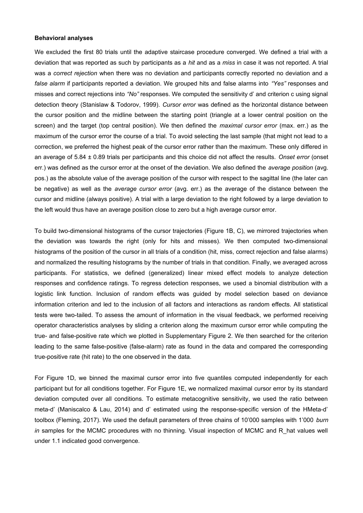#### **Behavioral analyses**

We excluded the first 80 trials until the adaptive staircase procedure converged. We defined a trial with a deviation that was reported as such by participants as a *hit* and as a *miss* in case it was not reported. A trial was a *correct rejection* when there was no deviation and participants correctly reported no deviation and a *false alarm* if participants reported a deviation. We grouped hits and false alarms into *"Yes"* responses and misses and correct rejections into *"No"* responses. We computed the sensitivity d' and criterion c using signal detection theory (Stanislaw & Todorov, 1999). *Cursor error* was defined as the horizontal distance between the cursor position and the midline between the starting point (triangle at a lower central position on the screen) and the target (top central position). We then defined the *maximal cursor error* (max. err.) as the maximum of the cursor error the course of a trial. To avoid selecting the last sample (that might not lead to a correction, we preferred the highest peak of the cursor error rather than the maximum. These only differed in an average of 5.84 ± 0.89 trials per participants and this choice did not affect the results. *Onset error* (onset err.) was defined as the cursor error at the onset of the deviation. We also defined the *average position* (avg. pos.) as the absolute value of the average position of the cursor with respect to the sagittal line (the later can be negative) as well as the *average cursor error* (avg. err.) as the average of the distance between the cursor and midline (always positive). A trial with a large deviation to the right followed by a large deviation to the left would thus have an average position close to zero but a high average cursor error.

To build two-dimensional histograms of the cursor trajectories (Figure 1B, C), we mirrored trajectories when the deviation was towards the right (only for hits and misses). We then computed two-dimensional histograms of the position of the cursor in all trials of a condition (hit, miss, correct rejection and false alarms) and normalized the resulting histograms by the number of trials in that condition. Finally, we averaged across participants. For statistics, we defined (generalized) linear mixed effect models to analyze detection responses and confidence ratings. To regress detection responses, we used a binomial distribution with a logistic link function. Inclusion of random effects was guided by model selection based on deviance information criterion and led to the inclusion of all factors and interactions as random effects. All statistical tests were two-tailed. To assess the amount of information in the visual feedback, we performed receiving operator characteristics analyses by sliding a criterion along the maximum cursor error while computing the true- and false-positive rate which we plotted in Supplementary Figure 2. We then searched for the criterion leading to the same false-positive (false-alarm) rate as found in the data and compared the corresponding true-positive rate (hit rate) to the one observed in the data.

For Figure 1D, we binned the maximal cursor error into five quantiles computed independently for each participant but for all conditions together. For Figure 1E, we normalized maximal cursor error by its standard deviation computed over all conditions. To estimate metacognitive sensitivity, we used the ratio between meta-d' (Maniscalco & Lau, 2014) and d' estimated using the response-specific version of the HMeta-d' toolbox (Fleming, 2017). We used the default parameters of three chains of 10'000 samples with 1'000 *burn in* samples for the MCMC procedures with no thinning. Visual inspection of MCMC and R hat values well under 1.1 indicated good convergence.